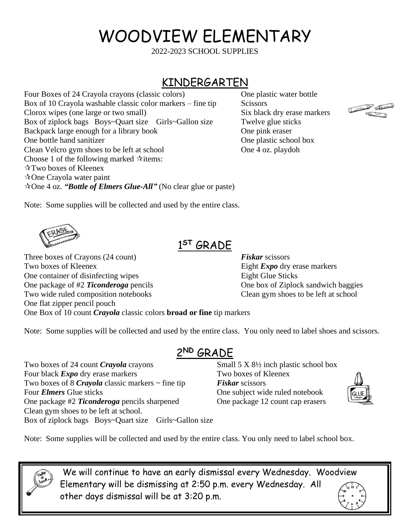# WOODVIEW ELEMENTARY

2022-2023 SCHOOL SUPPLIES

### KINDERGARTEN

Four Boxes of 24 Crayola crayons (classic colors) One plastic water bottle Box of 10 Crayola washable classic color markers – fine tip  $\sim$  Scissors Clorox wipes (one large or two small) Six black dry erase markers Box of ziplock bags Boys~Quart size Girls~Gallon size Twelve glue sticks Backpack large enough for a library book One pink eraser One bottle hand sanitizer One plastic school box Clean Velcro gym shoes to be left at school One 4 oz. playdoh Choose 1 of the following marked  $\dot{\mathbf{x}}$  items: Two boxes of Kleenex  $\triangle$ One Crayola water paint One 4 oz. *"Bottle of Elmers Glue-All"* (No clear glue or paste)



Note: Some supplies will be collected and used by the entire class.

Clean gym shoes to be left at school.

Box of ziplock bags Boys~Quart size Girls~Gallon size

#### 1 **ST** GRADE

Three boxes of Crayons (24 count) **Fiskar** scissors Two boxes of Kleenex **Eight** *Expo* dry erase markers One container of disinfecting wipes Eight Glue Sticks One package of #2 *Ticonderoga* pencils One box of Ziplock sandwich baggies Two wide ruled composition notebooks Clean gym shoes to be left at school One flat zipper pencil pouch One Box of 10 count *Crayola* classic colors **broad or fine** tip markers

Note: Some supplies will be collected and used by the entire class. You only need to label shoes and scissors.

#### 2 **ND** GRADE

Two boxes of 24 count *Crayola* crayons Small 5 X 8<sup>1/2</sup> inch plastic school box Four black *Expo* dry erase markers Two boxes of Kleenex Two boxes of 8 *Crayola* classic markers ~ fine tip *Fiskar* scissors Four *Elmers* Glue sticks One subject wide ruled notebook One package #2 *Ticonderoga* pencils sharpened One package 12 count cap erasers



Note: Some supplies will be collected and used by the entire class. You only need to label school box.

We will continue to have an early dismissal every Wednesday. Woodview Elementary will be dismissing at 2:50 p.m. every Wednesday. All other days dismissal will be at 3:20 p.m.